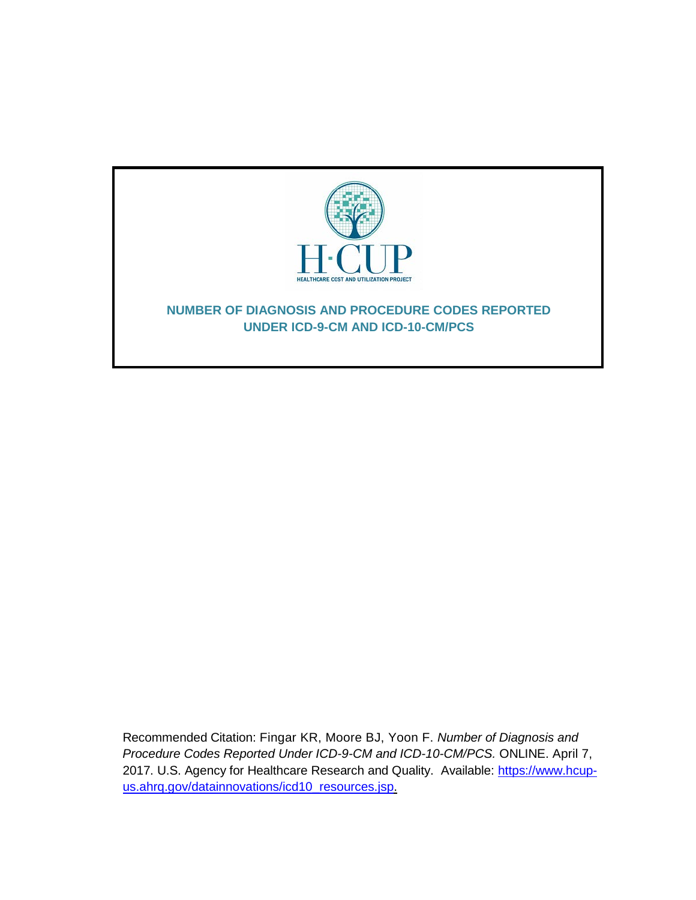

Recommended Citation: Fingar KR, Moore BJ, Yoon F. *Number of Diagnosis and Procedure Codes Reported Under ICD-9-CM and ICD-10-CM/PCS.* ONLINE. April 7, 2017. U.S. Agency for Healthcare Research and Quality. Available: [https://www.hcup](http://www.hcup-us.ahrq.gov/reports/methods/methods.jsp)[us.ahrq.gov/datainnovations/icd10\\_resources.jsp.](http://www.hcup-us.ahrq.gov/reports/methods/methods.jsp)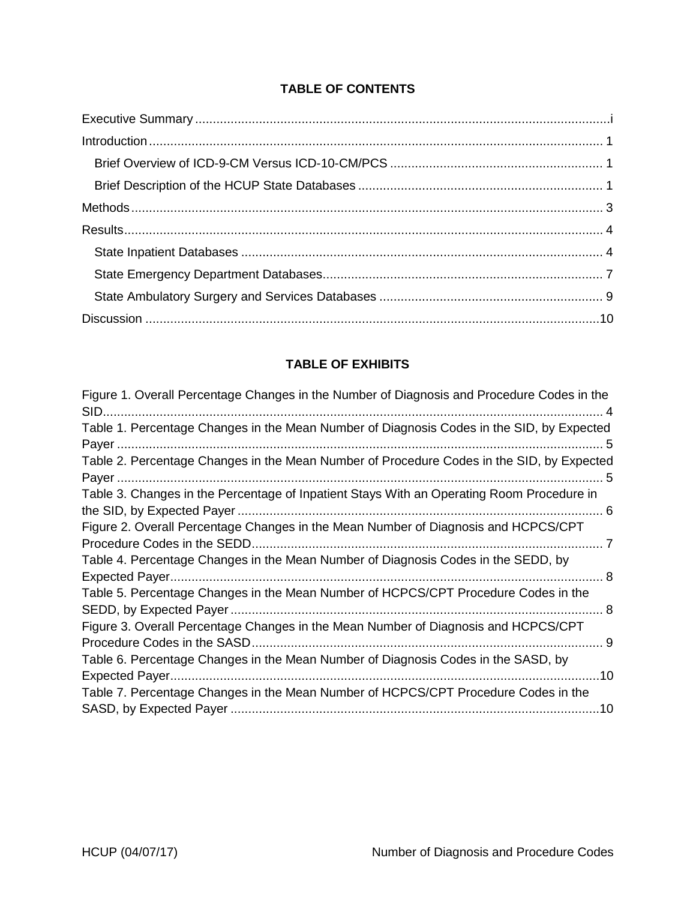# **TABLE OF CONTENTS**

# **TABLE OF EXHIBITS**

| Figure 1. Overall Percentage Changes in the Number of Diagnosis and Procedure Codes in the<br>SID<br>. 4 |
|----------------------------------------------------------------------------------------------------------|
| Table 1. Percentage Changes in the Mean Number of Diagnosis Codes in the SID, by Expected                |
|                                                                                                          |
| Table 2. Percentage Changes in the Mean Number of Procedure Codes in the SID, by Expected                |
| 5                                                                                                        |
| Table 3. Changes in the Percentage of Inpatient Stays With an Operating Room Procedure in                |
|                                                                                                          |
| Figure 2. Overall Percentage Changes in the Mean Number of Diagnosis and HCPCS/CPT                       |
| Procedure Codes in the SEDD.                                                                             |
| Table 4. Percentage Changes in the Mean Number of Diagnosis Codes in the SEDD, by                        |
| <b>Expected Payer</b><br>8                                                                               |
| Table 5. Percentage Changes in the Mean Number of HCPCS/CPT Procedure Codes in the                       |
| 8                                                                                                        |
| Figure 3. Overall Percentage Changes in the Mean Number of Diagnosis and HCPCS/CPT                       |
| Procedure Codes in the SASD                                                                              |
| Table 6. Percentage Changes in the Mean Number of Diagnosis Codes in the SASD, by                        |
| .10                                                                                                      |
| Table 7. Percentage Changes in the Mean Number of HCPCS/CPT Procedure Codes in the                       |
| .10                                                                                                      |
|                                                                                                          |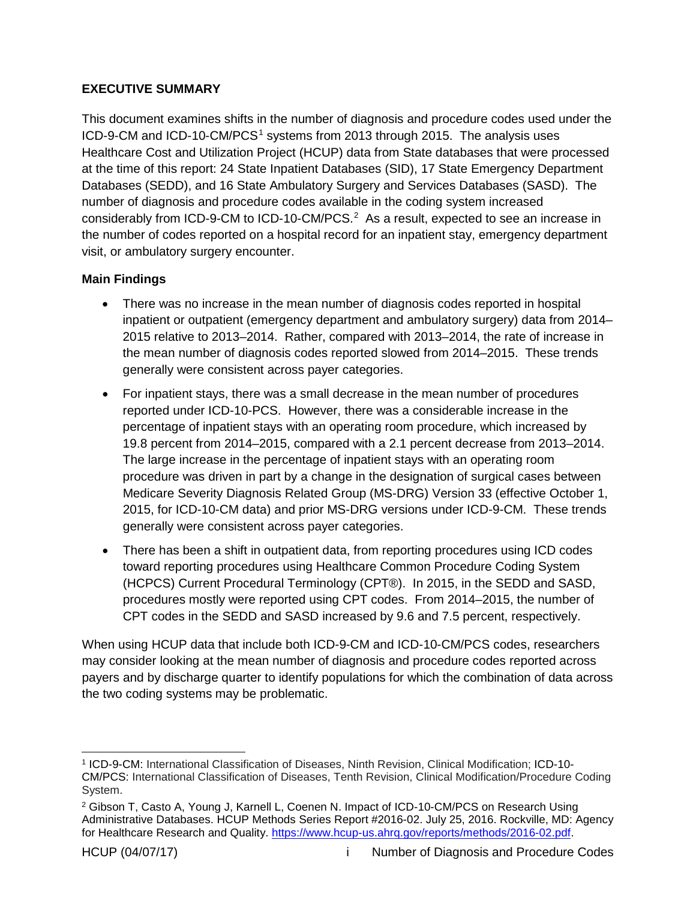### <span id="page-2-0"></span>**EXECUTIVE SUMMARY**

This document examines shifts in the number of diagnosis and procedure codes used under the ICD-9-CM and ICD-[1](#page-2-1)0-CM/PCS<sup>1</sup> systems from 2013 through 2015. The analysis uses Healthcare Cost and Utilization Project (HCUP) data from State databases that were processed at the time of this report: 24 State Inpatient Databases (SID), 17 State Emergency Department Databases (SEDD), and 16 State Ambulatory Surgery and Services Databases (SASD). The number of diagnosis and procedure codes available in the coding system increased considerably from ICD-9-CM to ICD-10-CM/PCS.<sup>[2](#page-2-2)</sup> As a result, expected to see an increase in the number of codes reported on a hospital record for an inpatient stay, emergency department visit, or ambulatory surgery encounter.

# **Main Findings**

- There was no increase in the mean number of diagnosis codes reported in hospital inpatient or outpatient (emergency department and ambulatory surgery) data from 2014– 2015 relative to 2013–2014. Rather, compared with 2013–2014, the rate of increase in the mean number of diagnosis codes reported slowed from 2014–2015. These trends generally were consistent across payer categories.
- For inpatient stays, there was a small decrease in the mean number of procedures reported under ICD-10-PCS. However, there was a considerable increase in the percentage of inpatient stays with an operating room procedure, which increased by 19.8 percent from 2014–2015, compared with a 2.1 percent decrease from 2013–2014. The large increase in the percentage of inpatient stays with an operating room procedure was driven in part by a change in the designation of surgical cases between Medicare Severity Diagnosis Related Group (MS-DRG) Version 33 (effective October 1, 2015, for ICD-10-CM data) and prior MS-DRG versions under ICD-9-CM. These trends generally were consistent across payer categories.
- There has been a shift in outpatient data, from reporting procedures using ICD codes toward reporting procedures using Healthcare Common Procedure Coding System (HCPCS) Current Procedural Terminology (CPT®). In 2015, in the SEDD and SASD, procedures mostly were reported using CPT codes. From 2014–2015, the number of CPT codes in the SEDD and SASD increased by 9.6 and 7.5 percent, respectively.

When using HCUP data that include both ICD-9-CM and ICD-10-CM/PCS codes, researchers may consider looking at the mean number of diagnosis and procedure codes reported across payers and by discharge quarter to identify populations for which the combination of data across the two coding systems may be problematic.

<span id="page-2-1"></span> <sup>1</sup> ICD-9-CM: International Classification of Diseases, Ninth Revision, Clinical Modification; ICD-10- CM/PCS: International Classification of Diseases, Tenth Revision, Clinical Modification/Procedure Coding System.

<span id="page-2-2"></span><sup>2</sup> Gibson T, Casto A, Young J, Karnell L, Coenen N. Impact of ICD-10-CM/PCS on Research Using Administrative Databases. HCUP Methods Series Report #2016-02. July 25, 2016. Rockville, MD: Agency for Healthcare Research and Quality. [https://www.hcup-us.ahrq.gov/reports/methods/2016-02.pdf.](https://www.hcup-us.ahrq.gov/reports/methods/2016-02.pdf)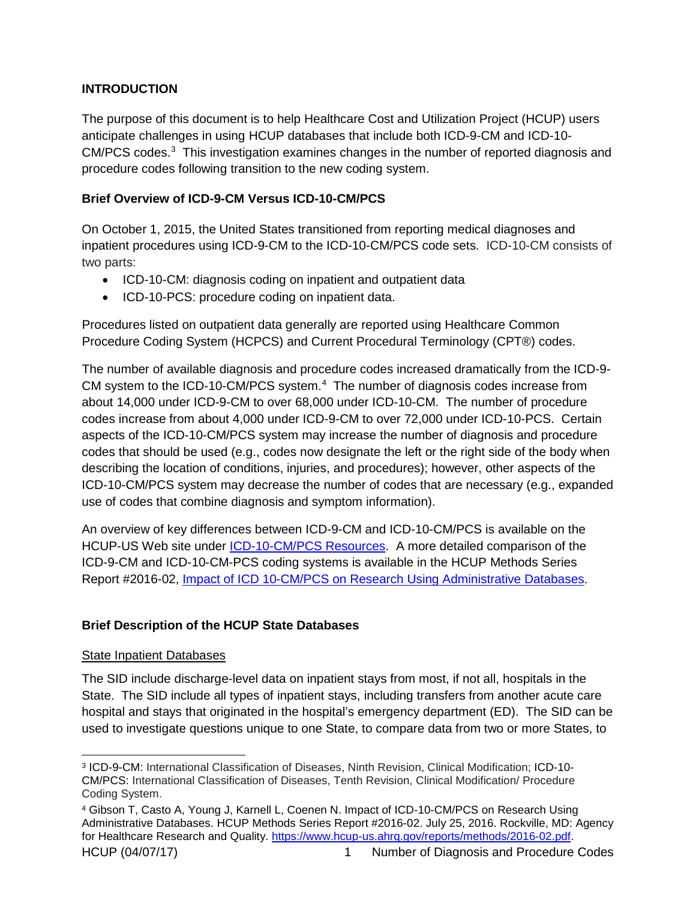# <span id="page-3-0"></span>**INTRODUCTION**

The purpose of this document is to help Healthcare Cost and Utilization Project (HCUP) users anticipate challenges in using HCUP databases that include both ICD-9-CM and ICD-10- CM/PCS codes. [3](#page-3-3) This investigation examines changes in the number of reported diagnosis and procedure codes following transition to the new coding system.

## <span id="page-3-1"></span>**Brief Overview of ICD-9-CM Versus ICD-10-CM/PCS**

On October 1, 2015, the United States transitioned from reporting medical diagnoses and inpatient procedures using ICD-9-CM to the ICD-10-CM/PCS code sets. ICD-10-CM consists of two parts:

- ICD-10-CM: diagnosis coding on inpatient and outpatient data
- ICD-10-PCS: procedure coding on inpatient data.

Procedures listed on outpatient data generally are reported using Healthcare Common Procedure Coding System (HCPCS) and Current Procedural Terminology (CPT®) codes.

The number of available diagnosis and procedure codes increased dramatically from the ICD-9- CM system to the ICD-10-CM/PCS system.<sup>[4](#page-3-4)</sup> The number of diagnosis codes increase from about 14,000 under ICD-9-CM to over 68,000 under ICD-10-CM. The number of procedure codes increase from about 4,000 under ICD-9-CM to over 72,000 under ICD-10-PCS. Certain aspects of the ICD-10-CM/PCS system may increase the number of diagnosis and procedure codes that should be used (e.g., codes now designate the left or the right side of the body when describing the location of conditions, injuries, and procedures); however, other aspects of the ICD-10-CM/PCS system may decrease the number of codes that are necessary (e.g., expanded use of codes that combine diagnosis and symptom information).

An overview of key differences between ICD-9-CM and ICD-10-CM/PCS is available on the HCUP-US Web site under [ICD-10-CM/PCS Resources.](https://www.hcup-us.ahrq.gov/datainnovations/icd10_resources.jsp) A more detailed comparison of the ICD-9-CM and ICD-10-CM-PCS coding systems is available in the HCUP Methods Series Report #2016-02, [Impact of ICD 10-CM/PCS on Research Using Administrative Databases.](https://www.hcup-us.ahrq.gov/reports/methods/2016-02.pdf)

# <span id="page-3-2"></span>**Brief Description of the HCUP State Databases**

### State Inpatient Databases

The SID include discharge-level data on inpatient stays from most, if not all, hospitals in the State. The SID include all types of inpatient stays, including transfers from another acute care hospital and stays that originated in the hospital's emergency department (ED). The SID can be used to investigate questions unique to one State, to compare data from two or more States, to

<span id="page-3-3"></span> <sup>3</sup> ICD-9-CM: International Classification of Diseases, Ninth Revision, Clinical Modification; ICD-10- CM/PCS: International Classification of Diseases, Tenth Revision, Clinical Modification/ Procedure Coding System.

<span id="page-3-4"></span>HCUP (04/07/17) 1 1 Number of Diagnosis and Procedure Codes <sup>4</sup> Gibson T, Casto A, Young J, Karnell L, Coenen N. Impact of ICD-10-CM/PCS on Research Using Administrative Databases. HCUP Methods Series Report #2016-02. July 25, 2016. Rockville, MD: Agency for Healthcare Research and Quality. [https://www.hcup-us.ahrq.gov/reports/methods/2016-02.pdf.](https://www.hcup-us.ahrq.gov/reports/methods/2016-02.pdf)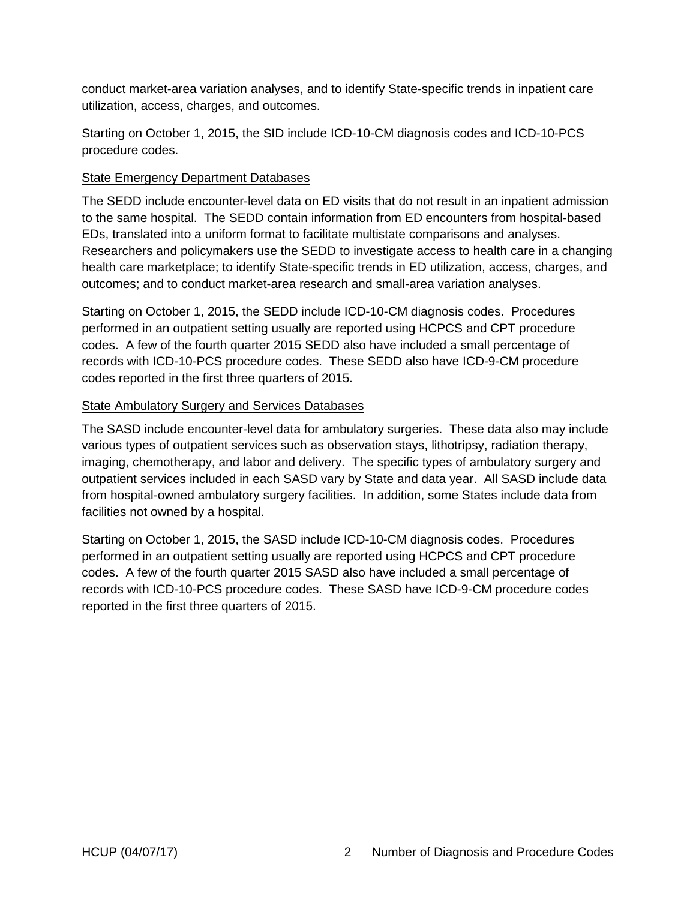conduct market-area variation analyses, and to identify State-specific trends in inpatient care utilization, access, charges, and outcomes.

Starting on October 1, 2015, the SID include ICD-10-CM diagnosis codes and ICD-10-PCS procedure codes.

#### State Emergency Department Databases

The SEDD include encounter-level data on ED visits that do not result in an inpatient admission to the same hospital. The SEDD contain information from ED encounters from hospital-based EDs, translated into a uniform format to facilitate multistate comparisons and analyses. Researchers and policymakers use the SEDD to investigate access to health care in a changing health care marketplace; to identify State-specific trends in ED utilization, access, charges, and outcomes; and to conduct market-area research and small-area variation analyses.

Starting on October 1, 2015, the SEDD include ICD-10-CM diagnosis codes. Procedures performed in an outpatient setting usually are reported using HCPCS and CPT procedure codes. A few of the fourth quarter 2015 SEDD also have included a small percentage of records with ICD-10-PCS procedure codes. These SEDD also have ICD-9-CM procedure codes reported in the first three quarters of 2015.

#### State Ambulatory Surgery and Services Databases

The SASD include encounter-level data for ambulatory surgeries. These data also may include various types of outpatient services such as observation stays, lithotripsy, radiation therapy, imaging, chemotherapy, and labor and delivery. The specific types of ambulatory surgery and outpatient services included in each SASD vary by State and data year. All SASD include data from hospital-owned ambulatory surgery facilities. In addition, some States include data from facilities not owned by a hospital.

Starting on October 1, 2015, the SASD include ICD-10-CM diagnosis codes. Procedures performed in an outpatient setting usually are reported using HCPCS and CPT procedure codes. A few of the fourth quarter 2015 SASD also have included a small percentage of records with ICD-10-PCS procedure codes. These SASD have ICD-9-CM procedure codes reported in the first three quarters of 2015.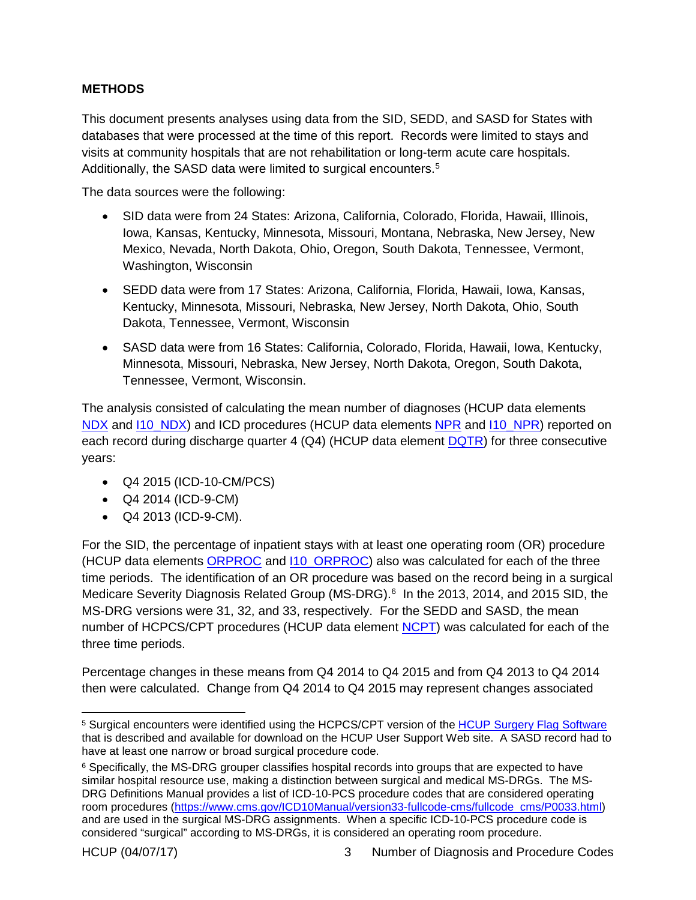### <span id="page-5-0"></span>**METHODS**

This document presents analyses using data from the SID, SEDD, and SASD for States with databases that were processed at the time of this report. Records were limited to stays and visits at community hospitals that are not rehabilitation or long-term acute care hospitals. Additionally, the SASD data were limited to surgical encounters. [5](#page-5-1)

The data sources were the following:

- SID data were from 24 States: Arizona, California, Colorado, Florida, Hawaii, Illinois, Iowa, Kansas, Kentucky, Minnesota, Missouri, Montana, Nebraska, New Jersey, New Mexico, Nevada, North Dakota, Ohio, Oregon, South Dakota, Tennessee, Vermont, Washington, Wisconsin
- SEDD data were from 17 States: Arizona, California, Florida, Hawaii, Iowa, Kansas, Kentucky, Minnesota, Missouri, Nebraska, New Jersey, North Dakota, Ohio, South Dakota, Tennessee, Vermont, Wisconsin
- SASD data were from 16 States: California, Colorado, Florida, Hawaii, Iowa, Kentucky, Minnesota, Missouri, Nebraska, New Jersey, North Dakota, Oregon, South Dakota, Tennessee, Vermont, Wisconsin.

The analysis consisted of calculating the mean number of diagnoses (HCUP data elements [NDX](https://www.hcup-us.ahrq.gov/db/vars/siddistnote.jsp?var=ndx) and [I10\\_NDX\)](https://www.hcup-us.ahrq.gov/db/vars/siddistnote.jsp?var=I10_ndx) and ICD procedures (HCUP data elements [NPR](https://www.hcup-us.ahrq.gov/db/vars/siddistnote.jsp?var=npr) and [I10\\_NPR\)](https://www.hcup-us.ahrq.gov/db/vars/siddistnote.jsp?var=I10_npr) reported on each record during discharge quarter 4 (Q4) (HCUP data element **DQTR**) for three consecutive years:

- Q4 2015 (ICD-10-CM/PCS)
- Q4 2014 (ICD-9-CM)
- Q4 2013 (ICD-9-CM).

For the SID, the percentage of inpatient stays with at least one operating room (OR) procedure (HCUP data elements **[ORPROC](https://www.hcup-us.ahrq.gov/db/vars/siddistnote.jsp?var=orproc)** and **110\_ORPROC**) also was calculated for each of the three time periods. The identification of an OR procedure was based on the record being in a surgical Medicare Severity Diagnosis Related Group (MS-DRG).<sup>[6](#page-5-2)</sup> In the 2013, 2014, and 2015 SID, the MS-DRG versions were 31, 32, and 33, respectively. For the SEDD and SASD, the mean number of HCPCS/CPT procedures (HCUP data element [NCPT\)](https://www.hcup-us.ahrq.gov/db/vars/sedddistnote.jsp?var=ncpt) was calculated for each of the three time periods.

Percentage changes in these means from Q4 2014 to Q4 2015 and from Q4 2013 to Q4 2014 then were calculated. Change from Q4 2014 to Q4 2015 may represent changes associated

<span id="page-5-1"></span><sup>&</sup>lt;sup>5</sup> Surgical encounters were identified using the HCPCS/CPT version of the [HCUP Surgery Flag](https://www.hcup-us.ahrq.gov/toolssoftware/surgflags/surgeryflags.jsp) Software that is described and available for download on the HCUP User Support Web site. A SASD record had to have at least one narrow or broad surgical procedure code.

<span id="page-5-2"></span> $6$  Specifically, the MS-DRG grouper classifies hospital records into groups that are expected to have similar hospital resource use, making a distinction between surgical and medical MS-DRGs. The MS-DRG Definitions Manual provides a list of ICD-10-PCS procedure codes that are considered operating room procedures [\(https://www.cms.gov/ICD10Manual/version33-fullcode-cms/fullcode\\_cms/P0033.html\)](https://www.cms.gov/ICD10Manual/version33-fullcode-cms/fullcode_cms/P0033.html) and are used in the surgical MS-DRG assignments. When a specific ICD-10-PCS procedure code is considered "surgical" according to MS-DRGs, it is considered an operating room procedure.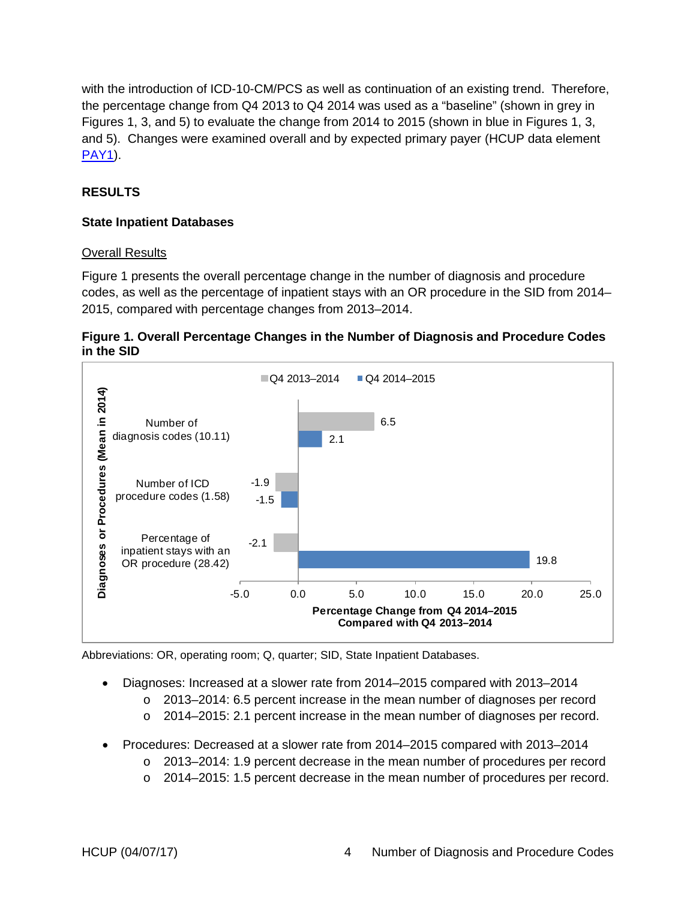with the introduction of ICD-10-CM/PCS as well as continuation of an existing trend. Therefore, the percentage change from Q4 2013 to Q4 2014 was used as a "baseline" (shown in grey in Figures 1, 3, and 5) to evaluate the change from 2014 to 2015 (shown in blue in Figures 1, 3, and 5). Changes were examined overall and by expected primary payer (HCUP data element [PAY1\)](https://www.hcup-us.ahrq.gov/db/vars/siddistnote.jsp?var=pay1).

## <span id="page-6-0"></span>**RESULTS**

### <span id="page-6-1"></span>**State Inpatient Databases**

#### Overall Results

Figure 1 presents the overall percentage change in the number of diagnosis and procedure codes, as well as the percentage of inpatient stays with an OR procedure in the SID from 2014– 2015, compared with percentage changes from 2013–2014.

<span id="page-6-2"></span>



Abbreviations: OR, operating room; Q, quarter; SID, State Inpatient Databases.

- Diagnoses: Increased at a slower rate from 2014–2015 compared with 2013–2014
	- o 2013–2014: 6.5 percent increase in the mean number of diagnoses per record
	- $\circ$  2014–2015: 2.1 percent increase in the mean number of diagnoses per record.
- Procedures: Decreased at a slower rate from 2014–2015 compared with 2013–2014
	- o 2013–2014: 1.9 percent decrease in the mean number of procedures per record
	- o 2014–2015: 1.5 percent decrease in the mean number of procedures per record.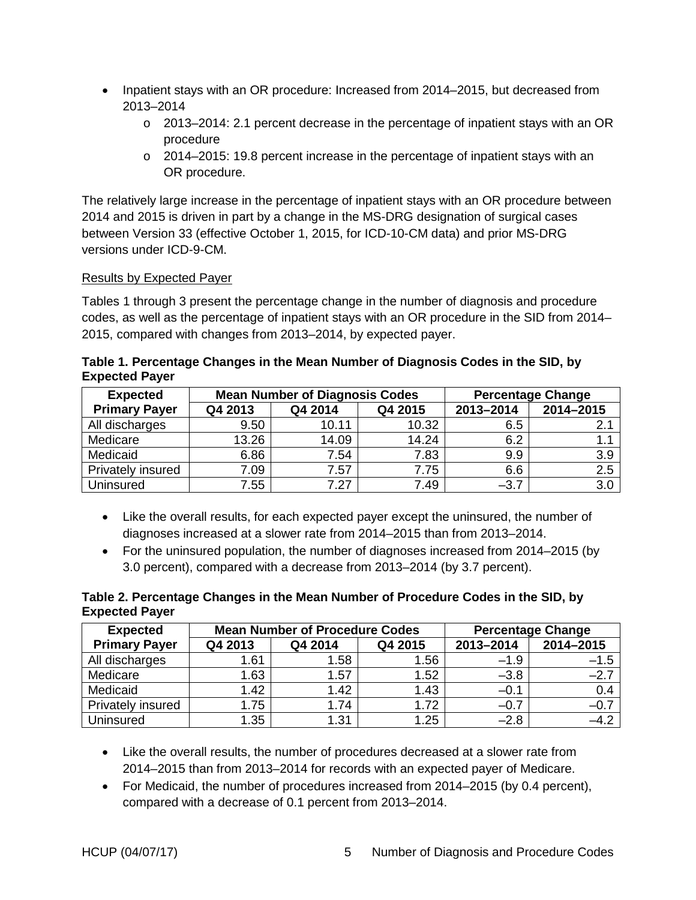- Inpatient stays with an OR procedure: Increased from 2014–2015, but decreased from 2013–2014
	- $\circ$  2013–2014: 2.1 percent decrease in the percentage of inpatient stays with an OR procedure
	- o 2014–2015: 19.8 percent increase in the percentage of inpatient stays with an OR procedure.

The relatively large increase in the percentage of inpatient stays with an OR procedure between 2014 and 2015 is driven in part by a change in the MS-DRG designation of surgical cases between Version 33 (effective October 1, 2015, for ICD-10-CM data) and prior MS-DRG versions under ICD-9-CM.

### Results by Expected Payer

Tables 1 through 3 present the percentage change in the number of diagnosis and procedure codes, as well as the percentage of inpatient stays with an OR procedure in the SID from 2014– 2015, compared with changes from 2013–2014, by expected payer.

<span id="page-7-0"></span>

| Table 1. Percentage Changes in the Mean Number of Diagnosis Codes in the SID, by |  |  |
|----------------------------------------------------------------------------------|--|--|
| <b>Expected Payer</b>                                                            |  |  |

| <b>Expected</b>      | <b>Mean Number of Diagnosis Codes</b> |                    |       |           |           |  | <b>Percentage Change</b> |
|----------------------|---------------------------------------|--------------------|-------|-----------|-----------|--|--------------------------|
| <b>Primary Payer</b> | Q4 2013                               | Q4 2014<br>Q4 2015 |       | 2013-2014 | 2014-2015 |  |                          |
| All discharges       | 9.50                                  | 10.11              | 10.32 | 6.5       | 2.1       |  |                          |
| Medicare             | 13.26                                 | 14.09              | 14.24 | 6.2       |           |  |                          |
| Medicaid             | 6.86                                  | 7.54               | 7.83  | 9.9       | 3.9       |  |                          |
| Privately insured    | 7.09                                  | 7.57               | 7.75  | 6.6       | 2.5       |  |                          |
| Uninsured            | 7.55                                  | 7.27               | 7.49  | $-3.7$    | 3.0       |  |                          |

- Like the overall results, for each expected payer except the uninsured, the number of diagnoses increased at a slower rate from 2014–2015 than from 2013–2014.
- For the uninsured population, the number of diagnoses increased from 2014–2015 (by 3.0 percent), compared with a decrease from 2013–2014 (by 3.7 percent).

#### <span id="page-7-1"></span>**Table 2. Percentage Changes in the Mean Number of Procedure Codes in the SID, by Expected Payer**

| <b>Expected</b>      |         | <b>Mean Number of Procedure Codes</b> |      | <b>Percentage Change</b> |           |
|----------------------|---------|---------------------------------------|------|--------------------------|-----------|
| <b>Primary Payer</b> | Q4 2013 | Q4 2014<br>Q4 2015                    |      | 2013-2014                | 2014-2015 |
| All discharges       | 1.61    | 1.58                                  | .56  | $-1.9$                   | $-1.5$    |
| Medicare             | 1.63    | 1.57                                  | 1.52 | $-3.8$                   | $-2.7$    |
| Medicaid             | 1.42    | 1.42                                  | 1.43 | $-0.1$                   | 0.4       |
| Privately insured    | 1.75    | 1.74                                  | 1.72 | $-0.7$                   | $-0.7$    |
| Uninsured            | 1.35    | 1.31                                  | 1.25 | $-2.8$                   | $-4.2$    |

- Like the overall results, the number of procedures decreased at a slower rate from 2014–2015 than from 2013–2014 for records with an expected payer of Medicare.
- For Medicaid, the number of procedures increased from 2014–2015 (by 0.4 percent), compared with a decrease of 0.1 percent from 2013–2014.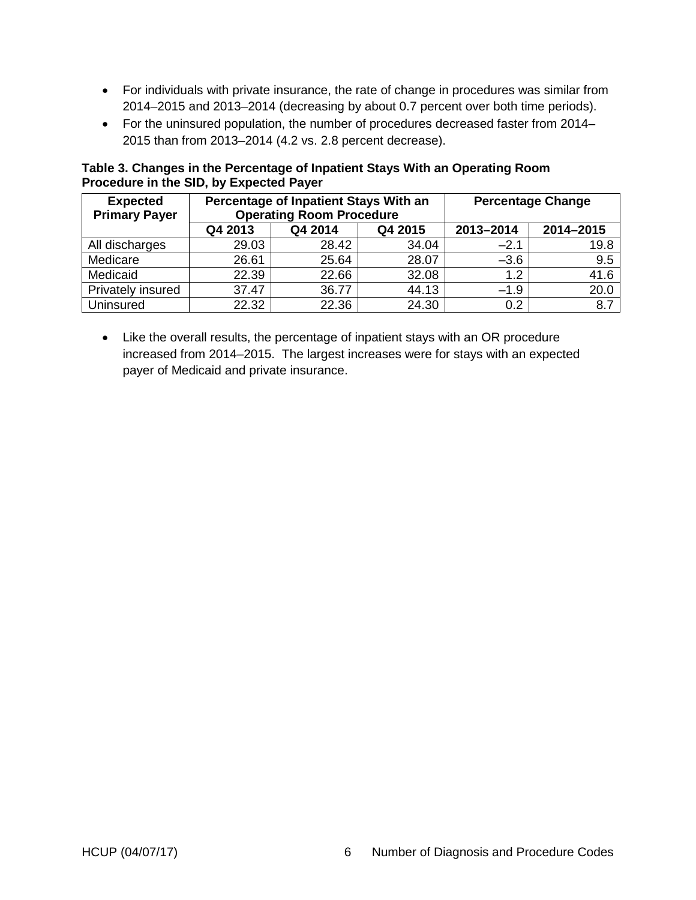- For individuals with private insurance, the rate of change in procedures was similar from 2014–2015 and 2013–2014 (decreasing by about 0.7 percent over both time periods).
- For the uninsured population, the number of procedures decreased faster from 2014– 2015 than from 2013–2014 (4.2 vs. 2.8 percent decrease).

<span id="page-8-1"></span>**Table 3. Changes in the Percentage of Inpatient Stays With an Operating Room Procedure in the SID, by Expected Payer**

| <b>Expected</b><br><b>Primary Payer</b> | Percentage of Inpatient Stays With an<br><b>Operating Room Procedure</b> |         |         |           | <b>Percentage Change</b> |
|-----------------------------------------|--------------------------------------------------------------------------|---------|---------|-----------|--------------------------|
|                                         | Q4 2013                                                                  | Q4 2014 | Q4 2015 | 2013-2014 | 2014-2015                |
| All discharges                          | 29.03                                                                    | 28.42   | 34.04   | $-2.1$    | 19.8                     |
| Medicare                                | 26.61                                                                    | 25.64   | 28.07   | $-3.6$    | 9.5                      |
| Medicaid                                | 22.39                                                                    | 22.66   | 32.08   | 1.2       | 41.6                     |
| Privately insured                       | 37.47                                                                    | 36.77   | 44.13   | $-1.9$    | 20.0                     |
| Uninsured                               | 22.32                                                                    | 22.36   | 24.30   | 0.2       | 8.7                      |

<span id="page-8-0"></span>• Like the overall results, the percentage of inpatient stays with an OR procedure increased from 2014–2015. The largest increases were for stays with an expected payer of Medicaid and private insurance.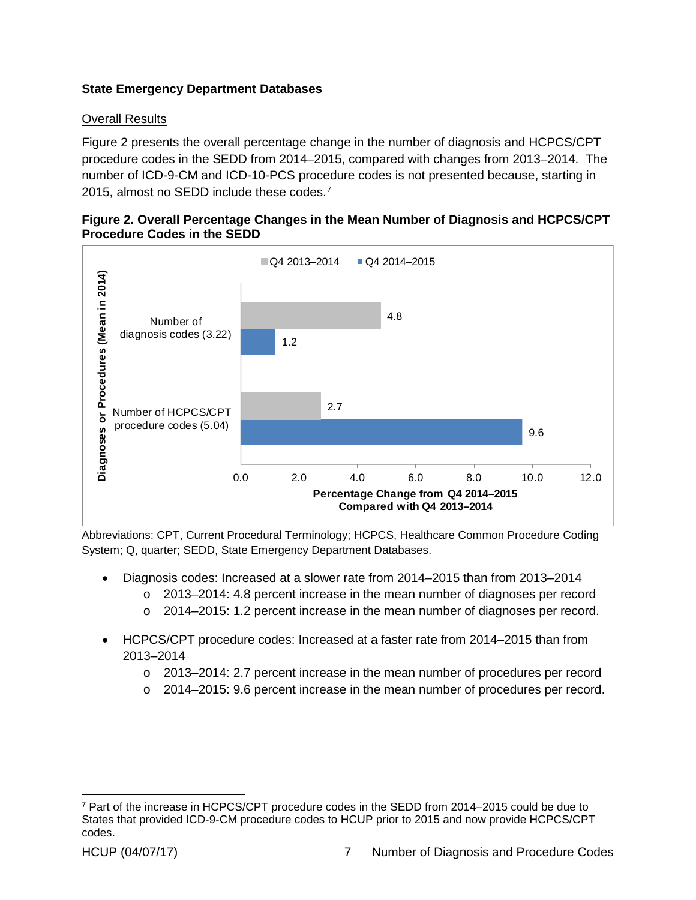## **State Emergency Department Databases**

Number of HCPCS/CPT procedure codes (5.04)

### Overall Results

Figure 2 presents the overall percentage change in the number of diagnosis and HCPCS/CPT procedure codes in the SEDD from 2014–2015, compared with changes from 2013–2014. The number of ICD-9-CM and ICD-10-PCS procedure codes is not presented because, starting in 2015, almost no SEDD include these codes.<sup>[7](#page-9-1)</sup>



### <span id="page-9-0"></span>**Figure 2. Overall Percentage Changes in the Mean Number of Diagnosis and HCPCS/CPT Procedure Codes in the SEDD**

Abbreviations: CPT, Current Procedural Terminology; HCPCS, Healthcare Common Procedure Coding System; Q, quarter; SEDD, State Emergency Department Databases.

2.7

- Diagnosis codes: Increased at a slower rate from 2014–2015 than from 2013–2014
	- $\circ$  2013–2014: 4.8 percent increase in the mean number of diagnoses per record
	- $\circ$  2014–2015: 1.2 percent increase in the mean number of diagnoses per record.

0.0 2.0 4.0 6.0 8.0 10.0 12.0

**Percentage Change from Q4 2014–2015 Compared with Q4 2013–2014**

- HCPCS/CPT procedure codes: Increased at a faster rate from 2014–2015 than from 2013–2014
	- o 2013–2014: 2.7 percent increase in the mean number of procedures per record
	- o 2014–2015: 9.6 percent increase in the mean number of procedures per record.

9.6

<span id="page-9-1"></span> <sup>7</sup> Part of the increase in HCPCS/CPT procedure codes in the SEDD from 2014–2015 could be due to States that provided ICD-9-CM procedure codes to HCUP prior to 2015 and now provide HCPCS/CPT codes.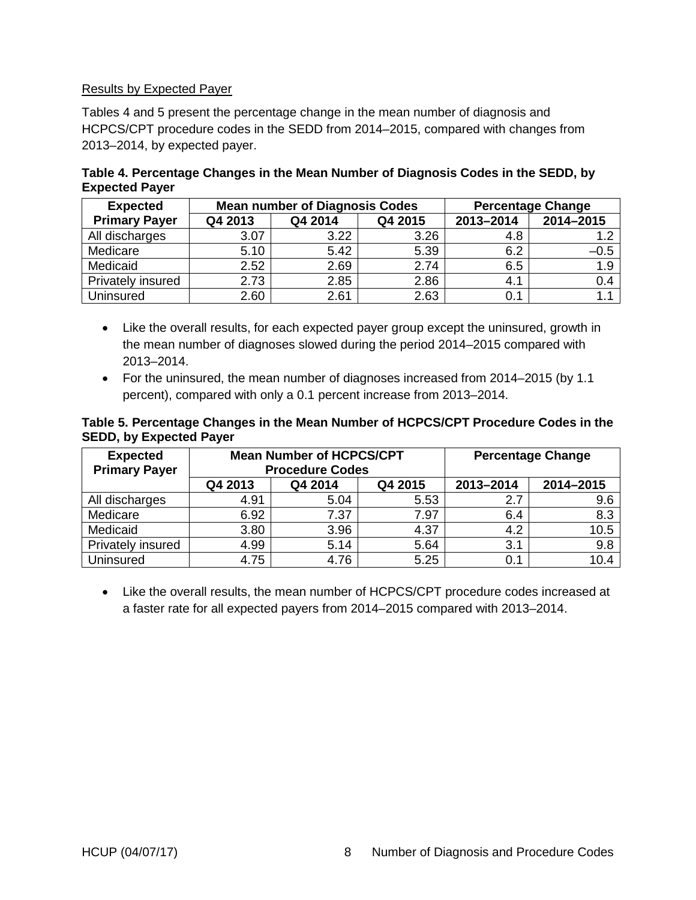#### Results by Expected Payer

Tables 4 and 5 present the percentage change in the mean number of diagnosis and HCPCS/CPT procedure codes in the SEDD from 2014–2015, compared with changes from 2013–2014, by expected payer.

<span id="page-10-1"></span>

| Table 4. Percentage Changes in the Mean Number of Diagnosis Codes in the SEDD, by |  |
|-----------------------------------------------------------------------------------|--|
| <b>Expected Payer</b>                                                             |  |

| <b>Expected</b>      |         | <b>Mean number of Diagnosis Codes</b> |      |           | <b>Percentage Change</b> |
|----------------------|---------|---------------------------------------|------|-----------|--------------------------|
| <b>Primary Payer</b> | Q4 2013 | Q4 2015<br>Q4 2014                    |      | 2013-2014 | 2014-2015                |
| All discharges       | 3.07    | 3.22                                  | 3.26 | 4.8       | 1.2                      |
| Medicare             | 5.10    | 5.42                                  | 5.39 | 6.2       | $-0.5$                   |
| Medicaid             | 2.52    | 2.69                                  | 2.74 | 6.5       | 1.9                      |
| Privately insured    | 2.73    | 2.85                                  | 2.86 | 4.1       | 0.4                      |
| Uninsured            | 2.60    | 2.61                                  | 2.63 | 0.1       | 1.1                      |

- Like the overall results, for each expected payer group except the uninsured, growth in the mean number of diagnoses slowed during the period 2014–2015 compared with 2013–2014.
- For the uninsured, the mean number of diagnoses increased from 2014–2015 (by 1.1 percent), compared with only a 0.1 percent increase from 2013–2014.

#### <span id="page-10-2"></span>**Table 5. Percentage Changes in the Mean Number of HCPCS/CPT Procedure Codes in the SEDD, by Expected Payer**

| <b>Expected</b><br><b>Primary Payer</b> | <b>Mean Number of HCPCS/CPT</b><br><b>Procedure Codes</b> |         |         |           | <b>Percentage Change</b> |
|-----------------------------------------|-----------------------------------------------------------|---------|---------|-----------|--------------------------|
|                                         | Q4 2013                                                   | Q4 2014 | Q4 2015 | 2013-2014 | 2014-2015                |
| All discharges                          | 4.91                                                      | 5.04    | 5.53    | 2.7       | 9.6                      |
| Medicare                                | 6.92                                                      | 7.37    | 7.97    | 6.4       | 8.3                      |
| Medicaid                                | 3.80                                                      | 3.96    | 4.37    | 4.2       | 10.5                     |
| Privately insured                       | 4.99                                                      | 5.14    | 5.64    | 3.1       | 9.8                      |
| Uninsured                               | 4.75                                                      | 4.76    | 5.25    | 0.1       | 10.4                     |

<span id="page-10-0"></span>• Like the overall results, the mean number of HCPCS/CPT procedure codes increased at a faster rate for all expected payers from 2014–2015 compared with 2013–2014.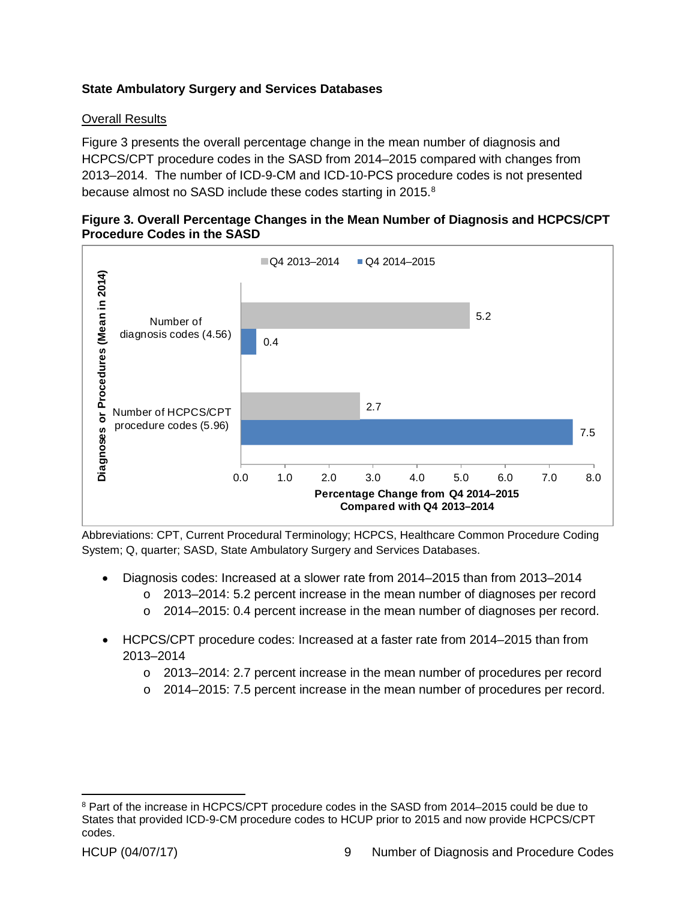# **State Ambulatory Surgery and Services Databases**

### Overall Results

Figure 3 presents the overall percentage change in the mean number of diagnosis and HCPCS/CPT procedure codes in the SASD from 2014–2015 compared with changes from 2013–2014. The number of ICD-9-CM and ICD-10-PCS procedure codes is not presented because almost no SASD include these codes starting in 2015.<sup>[8](#page-11-1)</sup>

<span id="page-11-0"></span>



Abbreviations: CPT, Current Procedural Terminology; HCPCS, Healthcare Common Procedure Coding System; Q, quarter; SASD, State Ambulatory Surgery and Services Databases.

- Diagnosis codes: Increased at a slower rate from 2014–2015 than from 2013–2014
	- o 2013–2014: 5.2 percent increase in the mean number of diagnoses per record
	- $\circ$  2014–2015: 0.4 percent increase in the mean number of diagnoses per record.
- HCPCS/CPT procedure codes: Increased at a faster rate from 2014–2015 than from 2013–2014
	- o 2013–2014: 2.7 percent increase in the mean number of procedures per record
	- o 2014–2015: 7.5 percent increase in the mean number of procedures per record.

<span id="page-11-1"></span><sup>&</sup>lt;sup>8</sup> Part of the increase in HCPCS/CPT procedure codes in the SASD from 2014–2015 could be due to States that provided ICD-9-CM procedure codes to HCUP prior to 2015 and now provide HCPCS/CPT codes.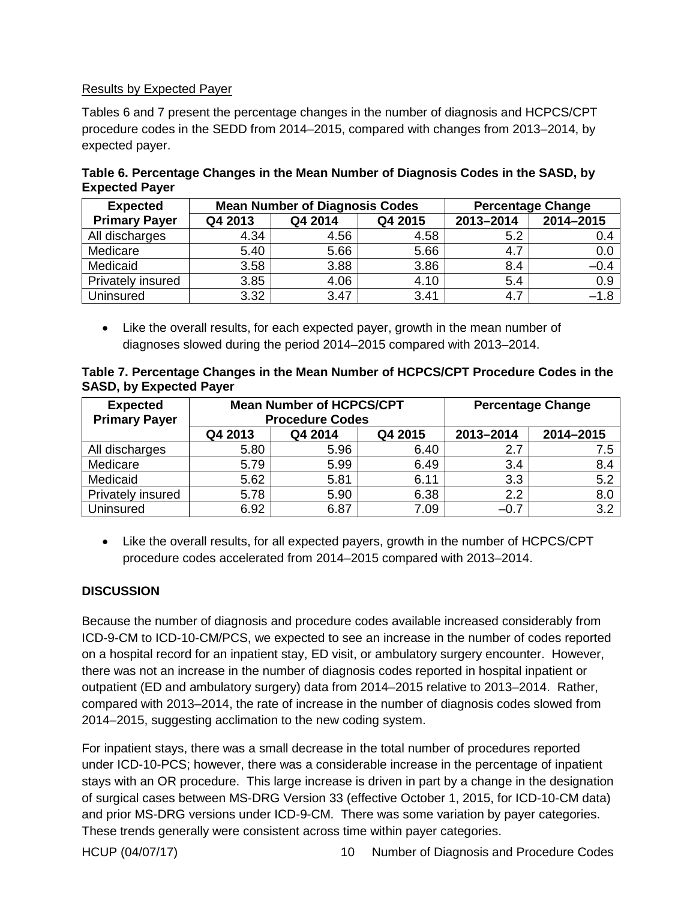#### Results by Expected Payer

Tables 6 and 7 present the percentage changes in the number of diagnosis and HCPCS/CPT procedure codes in the SEDD from 2014–2015, compared with changes from 2013–2014, by expected payer.

| <b>Expected</b>      |         | <b>Mean Number of Diagnosis Codes</b> |      | <b>Percentage Change</b> |           |  |  |
|----------------------|---------|---------------------------------------|------|--------------------------|-----------|--|--|
| <b>Primary Payer</b> | Q4 2013 | Q4 2014<br>Q4 2015                    |      | 2013-2014                | 2014-2015 |  |  |
| All discharges       | 4.34    | 4.56                                  | 4.58 | 5.2                      | 0.4       |  |  |
| Medicare             | 5.40    | 5.66                                  | 5.66 | 4.7                      | 0.0       |  |  |
| Medicaid             | 3.58    | 3.88                                  | 3.86 | 8.4                      | $-0.4$    |  |  |
| Privately insured    | 3.85    | 4.06                                  | 4.10 | 5.4                      | 0.9       |  |  |
| Uninsured            | 3.32    | 3.47                                  | 3.41 | 4.7                      | $-1.8$    |  |  |

<span id="page-12-1"></span>**Table 6. Percentage Changes in the Mean Number of Diagnosis Codes in the SASD, by Expected Payer**

• Like the overall results, for each expected payer, growth in the mean number of diagnoses slowed during the period 2014–2015 compared with 2013–2014.

<span id="page-12-2"></span>

| Table 7. Percentage Changes in the Mean Number of HCPCS/CPT Procedure Codes in the |  |  |
|------------------------------------------------------------------------------------|--|--|
| <b>SASD, by Expected Payer</b>                                                     |  |  |

| <b>Expected</b>      | <b>Mean Number of HCPCS/CPT</b> |                        |         |           | <b>Percentage Change</b> |
|----------------------|---------------------------------|------------------------|---------|-----------|--------------------------|
| <b>Primary Payer</b> |                                 | <b>Procedure Codes</b> |         |           |                          |
|                      | Q4 2013                         | Q4 2014                | Q4 2015 | 2013-2014 | 2014-2015                |
| All discharges       | 5.80                            | 5.96                   | 6.40    | 2.7       | 7.5                      |
| Medicare             | 5.79                            | 5.99                   | 6.49    | 3.4       | 8.4                      |
| Medicaid             | 5.62                            | 5.81                   | 6.11    | 3.3       | 5.2                      |
| Privately insured    | 5.78                            | 5.90                   | 6.38    | 2.2       | 8.0                      |
| <b>Uninsured</b>     | 6.92                            | 6.87                   | 7.09    | $-0.7$    | 3.2                      |

• Like the overall results, for all expected payers, growth in the number of HCPCS/CPT procedure codes accelerated from 2014–2015 compared with 2013–2014.

### <span id="page-12-0"></span>**DISCUSSION**

Because the number of diagnosis and procedure codes available increased considerably from ICD-9-CM to ICD-10-CM/PCS, we expected to see an increase in the number of codes reported on a hospital record for an inpatient stay, ED visit, or ambulatory surgery encounter. However, there was not an increase in the number of diagnosis codes reported in hospital inpatient or outpatient (ED and ambulatory surgery) data from 2014–2015 relative to 2013–2014. Rather, compared with 2013–2014, the rate of increase in the number of diagnosis codes slowed from 2014–2015, suggesting acclimation to the new coding system.

For inpatient stays, there was a small decrease in the total number of procedures reported under ICD-10-PCS; however, there was a considerable increase in the percentage of inpatient stays with an OR procedure. This large increase is driven in part by a change in the designation of surgical cases between MS-DRG Version 33 (effective October 1, 2015, for ICD-10-CM data) and prior MS-DRG versions under ICD-9-CM. There was some variation by payer categories. These trends generally were consistent across time within payer categories.